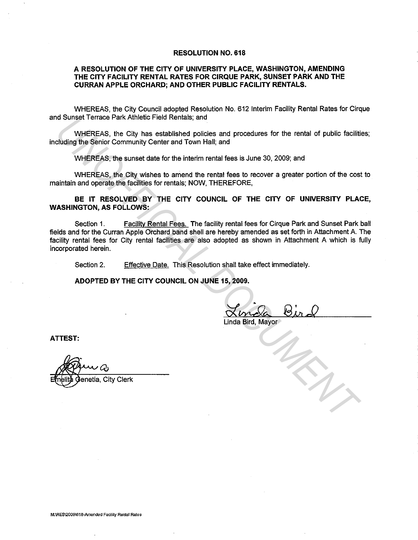## **RESOLUTION NO. 618**

## **A RESOLUTION OF THE CITY OF UNIVERSITY PLACE, WASHINGTON, AMENDING THE CITY FACILITY RENTAL RATES FOR CIRQUE PARK, SUNSET PARK ANDTHE CURRAN APPLE ORCHARD; AND OTHER PUBLIC FACILITY RENTALS.**

WHEREAS, the City Council adopted Resolution No. 612 Interim Facility Rental Rates for Cirque and Sunset Terrace Park Athletic Field Rentals; and

WHEREAS, the City has established policies and procedures for the rental of public facilities; including the Senior Community Center and Town Hall; and

WHEREAS, the sunset date for the interim rental fees is June 30, 2009; and

WHEREAS, the City wishes to amend the rental fees to recover a greater portion of the cost to maintain and operate the facilities for rentals; NOW, THEREFORE,

**BE IT RESOLVED BY THE CITY COUNCIL OF THE CITY OF UNIVERSITY PLACE, WASHINGTON, AS FOLLOWS:** 

Section 1. Facility Rental Fees. The facility rental fees for Cirque Park and Sunset Park ball fields and for the Curran Apple Orchard band shell are hereby amended as set forth in Attachment A. The facility rental fees for City rental facilities are also adopted as shown in Attachment A which is fully incorporated herein. **UNEREAS, the City has established pointing and procedures for the rental of public facility where Solved the Solvent Community Center and Town Hall, and WHEREAS, the sunset date for the interim rental fees is June 30, 200** 

Section 2. Effective Date. This Resolution shall take effect immediately.

**ADOPTED BY THE CITY COUNCIL ON JUNE 15, 2009.** 

Linda Bird, Mayor

**ATTEST:** 

enetia, City Clerk